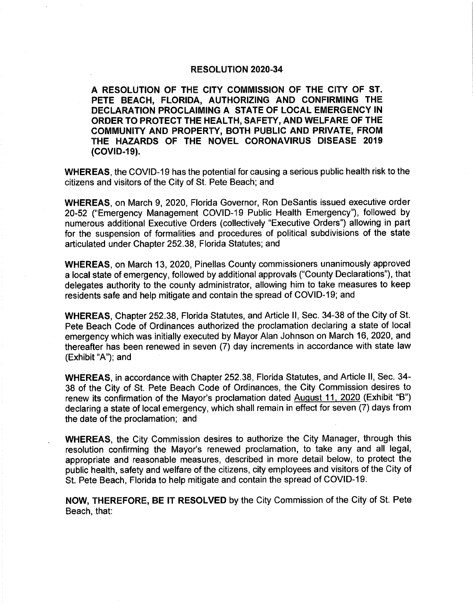#### **RESOLUTION 2020-34**

A RESOLUTION OF THE CITY COMMISSION OF THE CITY OF ST. PETE BEACH, FLORIDA, AUTHORIZING AND CONFIRMING THE DECLARATION PROCLAIMING A STATE OF LOCAL EMERGENCY IN ORDER TO PROTECT THE HEALTH, SAFETY, AND WELFARE OF THE COMMUNITY AND PROPERTY, BOTH PUBLIC AND PRIVATE, FROM THE HAZARDS OF THE NOVEL CORONAVIRUS DISEASE 2019 (COVID-19).

WHEREAS, the COVID-19 has the potential for causing a serious public health risk to the citizens and visitors of the City of St. Pete Beach; and

WHEREAS, on March 9, 2020, Florida Governor, Ron DeSantis issued executive order 20-52 ("Emergency Management COVID-19 Public Health Emergency"), followed by numerous additional Executive Orders (collectively "Executive Orders") allowing in part for the suspension of formalities and procedures of political subdivisions of the state articulated under Chapter 252. 38, Florida Statutes; and

WHEREAS, on March 13, 2020, Pinellas County commissioners unanimously approved a local state of emergency, followed by additional approvals (" County Declarations"), that delegates authority to the county administrator, allowing him to take measures to keep residents safe and help mitigate and contain the spread of COVID-19; and

WHEREAS, Chapter 252.38, Florida Statutes, and Article II, Sec. 34-38 of the City of St. Pete Beach Code of Ordinances authorized the proclamation declaring a state of local emergency which was initially executed by Mayor Alan Johnson on March 16, 2020, and thereafter has been renewed in seven (7) day increments in accordance with state law (Exhibit "A"); and

WHEREAS, in accordance with Chapter 252. 38, Florida Statutes, and Article 11, Sec. 34- 38 of the City of St. Pete Beach Code of Ordinances, the City Commission desires to renew its confirmation of the Mayor's proclamation dated August 11, 2020 (Exhibit "B") declaring a state of local emergency, which shall remain in effect for seven (7) days from the date of the proclamation; and

WHEREAS, the City Commission desires to authorize the City Manager, through this resolution confirming the Mayor's renewed proclamation, to take any and all legal, appropriate and reasonable measures, described in more detail below, to protect the public health, safety and welfare of the citizens, city employees and visitors of the City of St. Pete Beach, Florida to help mitigate and contain the spread of COVID- 19.

NOW, THEREFORE, BE IT RESOLVED by the City Commission of the City of St. Pete Beach, that: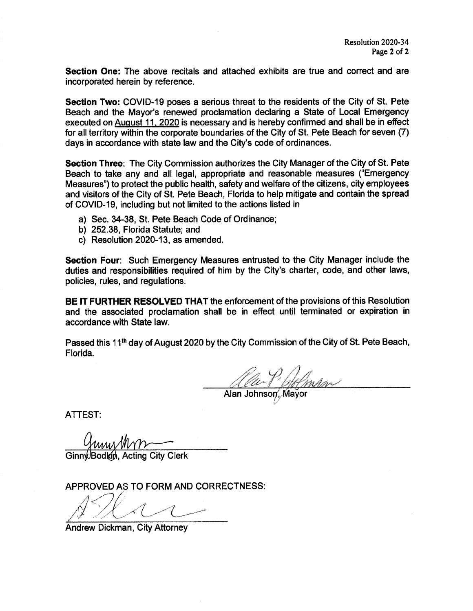Section One: The above recitals and attached exhibits are true and correct and are incorporated herein by reference.

Section Two: COVID-19 poses a serious threat to the residents of the City of St. Pete Beach and the Mayor's renewed proclamation declaring a State of Local Emergency executed on August 11, 2020 is necessary and is hereby confirmed and shall be in effect for all territory within the corporate boundaries of the City of St. Pete Beach for seven (7) days in accordance with state law and the City's code of ordinances.

Section Three: The City Commission authorizes the City Manager of the City of St. Pete Beach to take any and all legal, appropriate and reasonable measures ("Emergency Measures") to protect the public health, safety and welfare of the citizens, city employees and visitors of the City of St. Pete Beach, Florida to help mitigate and contain the spread of COVID- 19, including but not limited to the actions listed in

- a) Sec. 34-38, St. Pete Beach Code of Ordinance;
- b) 252. 38, Florida Statute; and
- c) Resolution 2020-13, as amended.

Section Four: Such Emergency Measures entrusted to the City Manager include the duties and responsibilities required of him by the City's charter, code, and other laws, policies, rules, and regulations.

BE IT FURTHER RESOLVED THAT the enforcement of the provisions of this Resolution and the associated proclamation shall be in effect until terminated or expiration in accordance with State law.

Passed this 11<sup>th</sup> day of August 2020 by the City Commission of the City of St. Pete Beach, Florida.

L

Alan Johnson; Mayor

ATTEST:

<u>Yuny</u>

Ginn VBodkin, Acting City Clerk

APPROVED AS TO FORM AND CORRECTNESS:

A

Andrew Dickman, City Attorney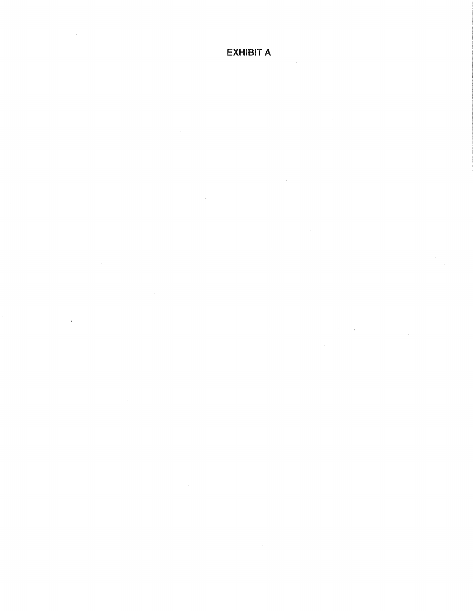## **EXHIBIT A**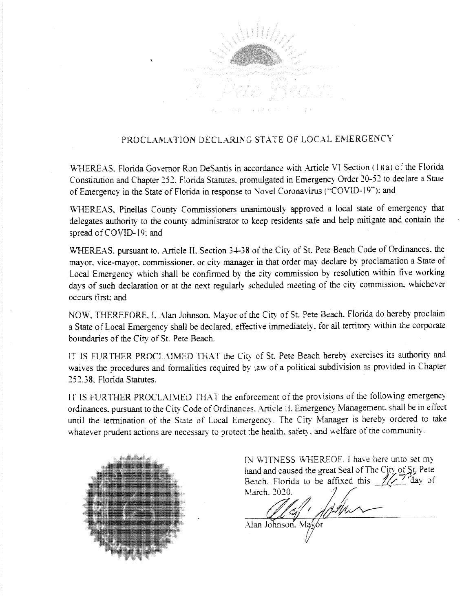

### PROCLAMATION DECLARING STATE OF LOCAL EMERGENCY

WHEREAS. Florida Governor Ron DeSantis in accordance with Article VI Section (1)(a) of the Florida Constitution and Chapter 252. Florida Statutes. promulgated in Emergency Order 20-52 to declare a State of Emergency in the State of Florida in response to Novel Coronavirus ("COVID-19"): and

WHEREAS, Pinellas County Commissioners unanimously approved a local state of emergency that delegates authority to the county administrator to keep residents safe and help mitigate and contain the spread of COVID-19; and

WHEREAS, pursuant to. Article II. Section 34-38 of the City of St. Pete Beach Code of Ordinances, the mayor. vice -mayor. commissioner. or city manager in that order may declare by proclamation a State of Local Emergency which shall be confirmed by the city commission by resolution within five working days of such declaration or at the next regularly scheduled meeting of the city commission, whichever occurs first: and

NOW, THEREFORE, 1. Alan Johnson. Mayor of the City of St. Pete Beach, Florida do hereby proclaim a State of Local Emergency shall be declared, effective immediately, for all territory within the corporate boundaries of the City of St. Pete Beach.

1T 1S FURTHER PROCLAIMED THAT the City of St. Pete Beach hereby exercises its authority and waives the procedures and Formalities required by law of a political subdivision as provided in Chapter 252. 38, Florida Statutes.

IT 1S FURTHER PROCLAIMED THAT the enforcement of the provisions of the Following emergency ordinances, pursuant to the City Code of Ordinances. Article 11. Emergency Management. shall be in effect until the termination of the State of Local Emergency. The City Manager is hereby ordered to take whatever prudent actions are necessary to protect the health, safety, and welfare of the community.



IN WITNESS WHEREOF. I have here unto set my hand and caused the great Seal of The City of  $St$ , Pete Beach. Florida to be affixed this  $\sqrt{1/\sqrt{2}}$  day of March. 2020.

Alan Johnson. Mayor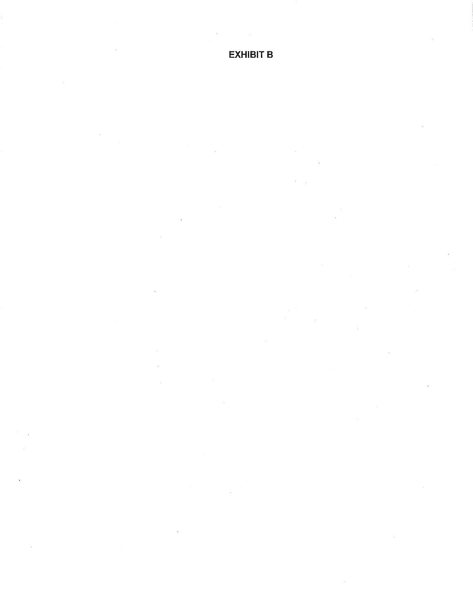# **EXHIBIT B**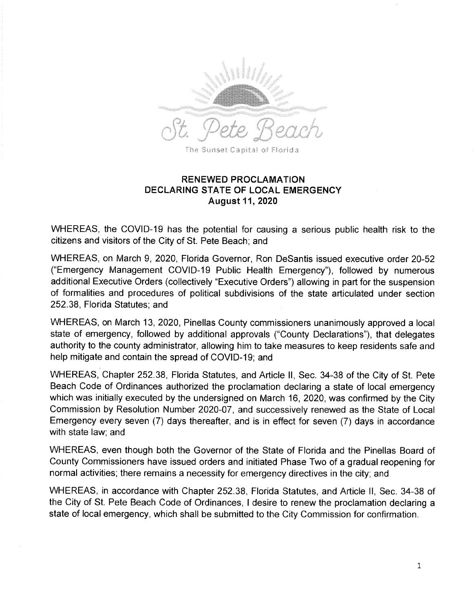

The Sunset Capital of Florida

### RENEWED PROCLAMATION DECLARING STATE OF LOCAL EMERGENCY August 11, 2020

WHEREAS, the COVID-19 has the potential for causing a serious public health risk to the citizens and visitors of the City of St. Pete Beach; and

WHEREAS, on March 9, 2020, Florida Governor, Ron DeSantis issued executive order 20-52 Emergency Management COVID- 19 Public Health Emergency"), followed by numerous additional Executive Orders (collectively "Executive Orders") allowing in part for the suspension of formalities and procedures of political subdivisions of the state articulated under section 252. 38, Florida Statutes; and

WHEREAS, on March 13, 2020, Pinellas County commissioners unanimously approved a local state of emergency, followed by additional approvals (" County Declarations"), that delegates authority to the county administrator, allowing him to take measures to keep residents safe and help mitigate and contain the spread of COVID-19; and

WHEREAS, Chapter 252. 38, Florida Statutes, and Article II, Sec. 34- 38 of the City of St. Pete Beach Code of Ordinances authorized the proclamation declaring a state of local emergency which was initially executed by the undersigned on March 16, 2020, was confirmed by the City Commission by Resolution Number 2020-07, and successively renewed as the State of Local Emergency every seven (7) days thereafter, and is in effect for seven (7) days in accordance with state law; and

WHEREAS, even though both the Governor of the State of Florida and the Pinellas Board of County Commissioners have issued orders and initiated Phase Two of a gradual reopening for normal activities; there remains a necessity for emergency directives in the city; and

WHEREAS, in accordance with Chapter 252.38, Florida Statutes, and Article II, Sec. 34-38 of the City of St. Pete Beach Code of Ordinances, I desire to renew the proclamation declaring a state of local emergency, which shall be submitted to the City Commission for confirmation.